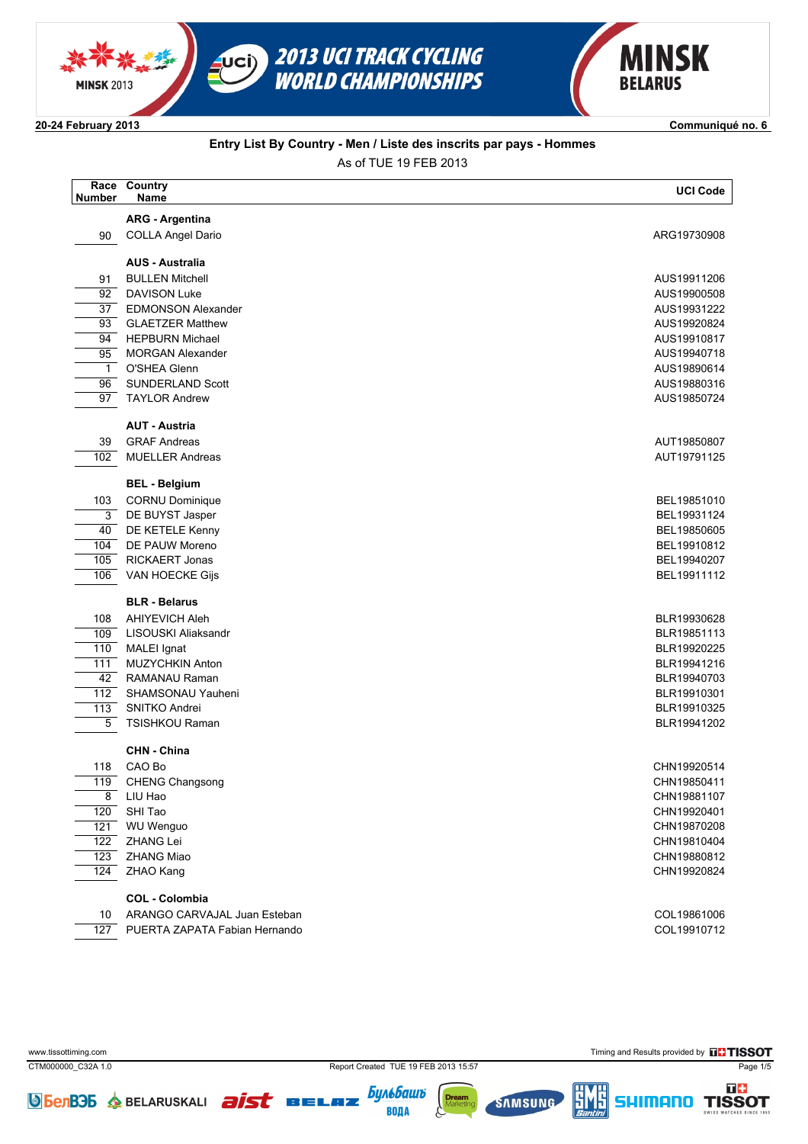



**2024 February 2013 Communiqué no. 6**

### **Entry List By Country - Men / Liste des inscrits par pays - Hommes** As of TUE 19 FEB 2013

| <b>Number</b>    | Race Country<br>Name          | <b>UCI Code</b> |
|------------------|-------------------------------|-----------------|
|                  | <b>ARG - Argentina</b>        |                 |
| 90               | <b>COLLA Angel Dario</b>      | ARG19730908     |
|                  | <b>AUS - Australia</b>        |                 |
| 91               | <b>BULLEN Mitchell</b>        | AUS19911206     |
| 92               | <b>DAVISON Luke</b>           | AUS19900508     |
| 37               | <b>EDMONSON Alexander</b>     | AUS19931222     |
| 93               | <b>GLAETZER Matthew</b>       | AUS19920824     |
| 94               | <b>HEPBURN Michael</b>        | AUS19910817     |
| 95               | <b>MORGAN Alexander</b>       | AUS19940718     |
| $\mathbf{1}$     | O'SHEA Glenn                  | AUS19890614     |
| 96               | <b>SUNDERLAND Scott</b>       | AUS19880316     |
| 97               | <b>TAYLOR Andrew</b>          | AUS19850724     |
|                  | <b>AUT - Austria</b>          |                 |
| 39               | <b>GRAF Andreas</b>           | AUT19850807     |
| 102              | <b>MUELLER Andreas</b>        | AUT19791125     |
|                  | <b>BEL - Belgium</b>          |                 |
| 103              | <b>CORNU Dominique</b>        | BEL19851010     |
| 3                | DE BUYST Jasper               | BEL19931124     |
| 40               | DE KETELE Kenny               | BEL19850605     |
| 104              | DE PAUW Moreno                | BEL19910812     |
| 105              | RICKAERT Jonas                | BEL19940207     |
| 106              | VAN HOECKE Gijs               | BEL19911112     |
|                  | <b>BLR - Belarus</b>          |                 |
| 108              | <b>AHIYEVICH Aleh</b>         | BLR19930628     |
| 109              | LISOUSKI Aliaksandr           | BLR19851113     |
| 110              | MALEI Ignat                   | BLR19920225     |
| 111              | <b>MUZYCHKIN Anton</b>        | BLR19941216     |
| 42               | RAMANAU Raman                 | BLR19940703     |
| 112              | SHAMSONAU Yauheni             | BLR19910301     |
| 113              | SNITKO Andrei                 | BLR19910325     |
| 5                | TSISHKOU Raman                | BLR19941202     |
|                  | CHN - China                   |                 |
| 118              | CAO Bo                        | CHN19920514     |
|                  | 119 CHENG Changsong           | CHN19850411     |
| 8                | LIU Hao                       | CHN19881107     |
| 120              | SHI Tao                       | CHN19920401     |
| 121              | <b>WU Wenguo</b>              | CHN19870208     |
| 122              | <b>ZHANG Lei</b>              | CHN19810404     |
| 123              | ZHANG Miao                    | CHN19880812     |
| 124              | <b>ZHAO Kang</b>              | CHN19920824     |
|                  | <b>COL - Colombia</b>         |                 |
| 10               | ARANGO CARVAJAL Juan Esteban  | COL19861006     |
| $\overline{127}$ | PUERTA ZAPATA Fabian Hernando | COL19910712     |

CTM000000\_C32A 1.0 Report Created TUE 19 FEB 2013 15:57 Page 1/5

www.tissottiming.com **Timing and Results provided by ELTISSOT** 

可事







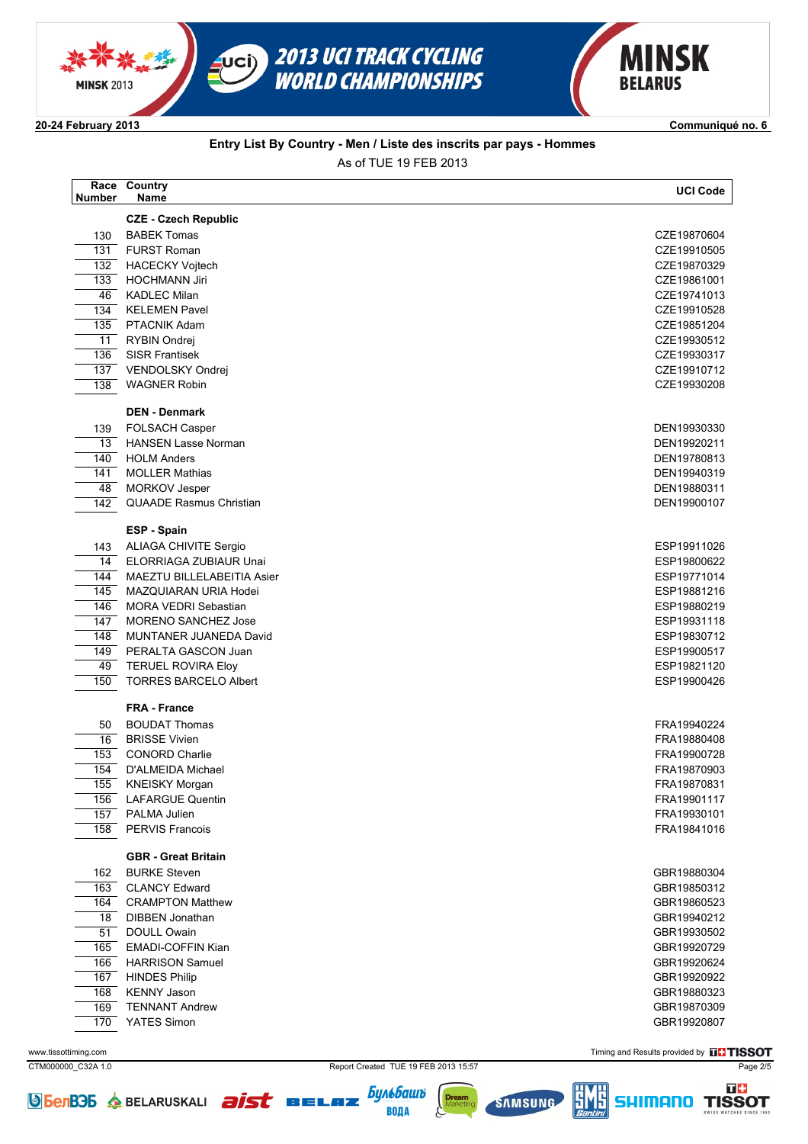



**2024 February 2013 Communiqué no. 6**

#### **Entry List By Country - Men / Liste des inscrits par pays - Hommes** As of TUE 19 FEB 2013

| <b>Number</b>    | Race Country<br>Name                       | <b>UCI Code</b>            |
|------------------|--------------------------------------------|----------------------------|
|                  | <b>CZE - Czech Republic</b>                |                            |
| 130              | <b>BABEK Tomas</b>                         | CZE19870604                |
| $\overline{131}$ | <b>FURST Roman</b>                         | CZE19910505                |
| 132              | <b>HACECKY Voitech</b>                     | CZE19870329                |
| 133              | <b>HOCHMANN Jiri</b>                       | CZE19861001                |
| 46               | <b>KADLEC Milan</b>                        | CZE19741013                |
| 134              | <b>KELEMEN Pavel</b>                       | CZE19910528                |
| 135              | <b>PTACNIK Adam</b>                        | CZE19851204                |
| 11               | RYBIN Ondrej                               | CZE19930512                |
| 136              | <b>SISR Frantisek</b>                      | CZE19930317                |
| 137              | VENDOLSKY Ondrej                           | CZE19910712                |
| 138              | <b>WAGNER Robin</b>                        | CZE19930208                |
|                  | <b>DEN - Denmark</b>                       |                            |
| 139              | <b>FOLSACH Casper</b>                      | DEN19930330                |
| 13               | <b>HANSEN Lasse Norman</b>                 | DEN19920211                |
| 140              | <b>HOLM Anders</b>                         | DEN19780813                |
| 141              | <b>MOLLER Mathias</b>                      | DEN19940319                |
| 48               | <b>MORKOV Jesper</b>                       | DEN19880311                |
| 142              | <b>QUAADE Rasmus Christian</b>             | DEN19900107                |
|                  | ESP - Spain                                |                            |
| 143              | <b>ALIAGA CHIVITE Sergio</b>               | ESP19911026                |
| 14               | ELORRIAGA ZUBIAUR Unai                     | ESP19800622                |
| 144              | MAEZTU BILLELABEITIA Asier                 | ESP19771014                |
| 145              | MAZQUIARAN URIA Hodei                      | ESP19881216                |
| 146              | <b>MORA VEDRI Sebastian</b>                | ESP19880219                |
| 147              | <b>MORENO SANCHEZ Jose</b>                 | ESP19931118                |
| 148              | MUNTANER JUANEDA David                     | ESP19830712                |
| 149              | PERALTA GASCON Juan                        | ESP19900517                |
| 49               | <b>TERUEL ROVIRA Eloy</b>                  | ESP19821120                |
| 150              | <b>TORRES BARCELO Albert</b>               | ESP19900426                |
|                  | <b>FRA - France</b>                        |                            |
| 50               | <b>BOUDAT Thomas</b>                       | FRA19940224                |
| 16               | <b>BRISSE Vivien</b>                       | FRA19880408                |
| 153              | <b>CONORD Charlie</b>                      | FRA19900728                |
| 154              | D'ALMEIDA Michael                          | FRA19870903                |
|                  | 155 KNEISKY Morgan                         | FRA19870831                |
| 156              | <b>LAFARGUE Quentin</b>                    | FRA19901117                |
| 157<br>158       | <b>PALMA Julien</b><br>PERVIS Francois     | FRA19930101                |
|                  |                                            | FRA19841016                |
|                  | <b>GBR</b> - Great Britain                 |                            |
| 162              | <b>BURKE Steven</b>                        | GBR19880304                |
| 163              | <b>CLANCY Edward</b>                       | GBR19850312                |
| 164              | <b>CRAMPTON Matthew</b>                    | GBR19860523                |
| 18               | <b>DIBBEN Jonathan</b>                     | GBR19940212                |
| 51               | DOULL Owain                                | GBR19930502                |
| 165              | EMADI-COFFIN Kian                          | GBR19920729                |
| 166              | <b>HARRISON Samuel</b>                     | GBR19920624                |
| 167<br>168       | <b>HINDES Philip</b><br><b>KENNY Jason</b> | GBR19920922<br>GBR19880323 |
| 169              | <b>TENNANT Andrew</b>                      | GBR19870309                |
| 170              | YATES Simon                                | GBR19920807                |
|                  |                                            |                            |

CTM000000\_C32A 1.0 Page 2/5

www.tissottiming.com **Timing and Results provided by ELTISSOT** 





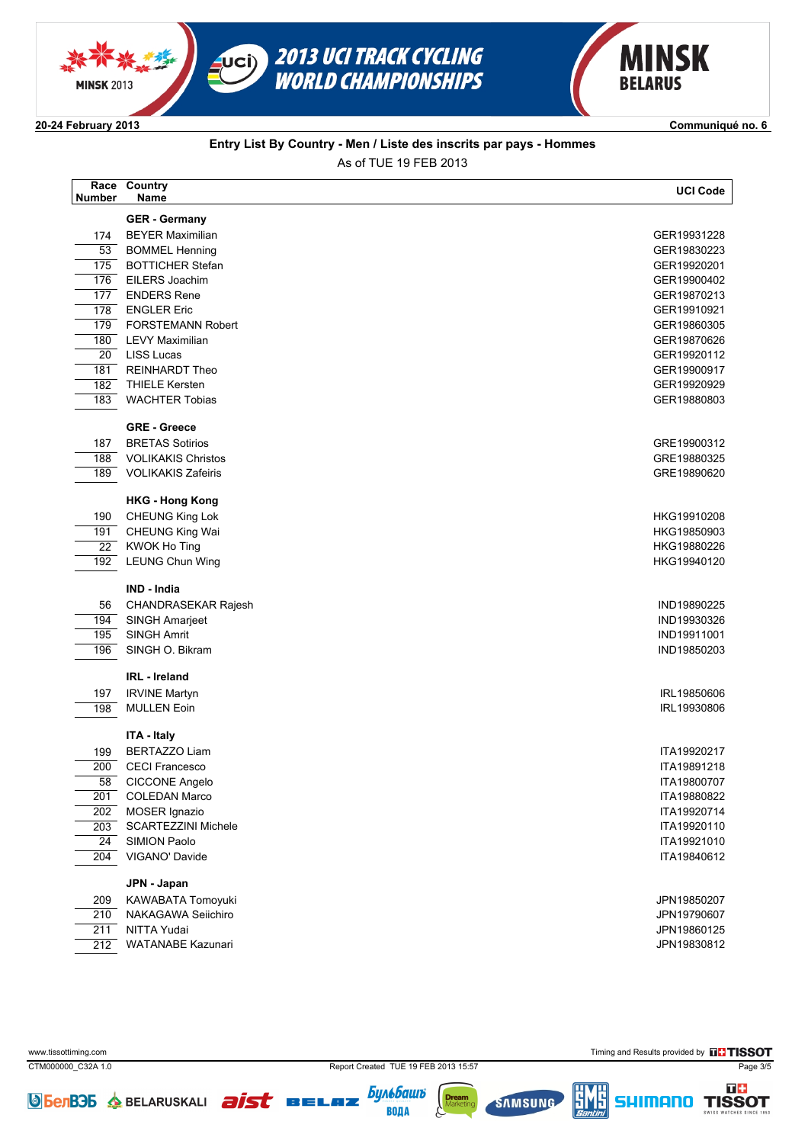



**2024 February 2013 Communiqué no. 6**

#### **Entry List By Country - Men / Liste des inscrits par pays - Hommes** As of TUE 19 FEB 2013

| <b>Number</b>   | Race Country<br>Name       | <b>UCI Code</b> |
|-----------------|----------------------------|-----------------|
|                 | <b>GER</b> - Germany       |                 |
| 174             | <b>BEYER Maximilian</b>    | GER19931228     |
| $\overline{53}$ | <b>BOMMEL Henning</b>      | GER19830223     |
| 175             | <b>BOTTICHER Stefan</b>    | GER19920201     |
| 176             | EILERS Joachim             | GER19900402     |
| 177             | <b>ENDERS Rene</b>         | GER19870213     |
| 178             | <b>ENGLER Eric</b>         | GER19910921     |
| 179             | <b>FORSTEMANN Robert</b>   | GER19860305     |
| 180             | <b>LEVY Maximilian</b>     | GER19870626     |
| 20              | <b>LISS Lucas</b>          | GER19920112     |
| 181             | <b>REINHARDT Theo</b>      | GER19900917     |
| 182             | <b>THIELE Kersten</b>      | GER19920929     |
| 183             | <b>WACHTER Tobias</b>      | GER19880803     |
|                 | <b>GRE - Greece</b>        |                 |
| 187             | <b>BRETAS Sotirios</b>     | GRE19900312     |
| 188             | <b>VOLIKAKIS Christos</b>  | GRE19880325     |
| 189             | <b>VOLIKAKIS Zafeiris</b>  | GRE19890620     |
|                 | <b>HKG - Hong Kong</b>     |                 |
| 190             | <b>CHEUNG King Lok</b>     | HKG19910208     |
| 191             | <b>CHEUNG King Wai</b>     | HKG19850903     |
| $\overline{22}$ | <b>KWOK Ho Ting</b>        | HKG19880226     |
| 192             | <b>LEUNG Chun Wing</b>     | HKG19940120     |
|                 | <b>IND - India</b>         |                 |
| 56              | CHANDRASEKAR Rajesh        | IND19890225     |
| 194             | <b>SINGH Amarjeet</b>      | IND19930326     |
| 195             | <b>SINGH Amrit</b>         | IND19911001     |
| 196             | SINGH O. Bikram            | IND19850203     |
|                 | <b>IRL</b> - Ireland       |                 |
| 197             | <b>IRVINE Martyn</b>       | IRL19850606     |
| 198             | <b>MULLEN Eoin</b>         | IRL19930806     |
|                 | ITA - Italy                |                 |
| 199             | <b>BERTAZZO Liam</b>       | ITA19920217     |
| 200             | <b>CECI Francesco</b>      | ITA19891218     |
| $\overline{58}$ | CICCONE Angelo             | ITA19800707     |
| 201             | <b>COLEDAN Marco</b>       | ITA19880822     |
| 202             | MOSER Ignazio              | ITA19920714     |
| 203             | <b>SCARTEZZINI Michele</b> | ITA19920110     |
| $\overline{24}$ | <b>SIMION Paolo</b>        | ITA19921010     |
| 204             | VIGANO' Davide             | ITA19840612     |
|                 | JPN - Japan                |                 |
| 209             | KAWABATA Tomoyuki          | JPN19850207     |
| 210             | NAKAGAWA Seiichiro         | JPN19790607     |
| 211             | NITTA Yudai                | JPN19860125     |
| 212             | <b>WATANABE Kazunari</b>   | JPN19830812     |

**JOBETB36 & BELARUSKALI aist BELAZ** 

CTM000000\_C32A 1.0 Report Created TUE 19 FEB 2013 15:57 Page 3/5

**SAMSUNG** 

**Бильбашъ** 

**ВОДА** 

www.tissottiming.com **Timing and Results provided by ELTISSOT** 

**SHIMANO** 

可事

**TISSOT**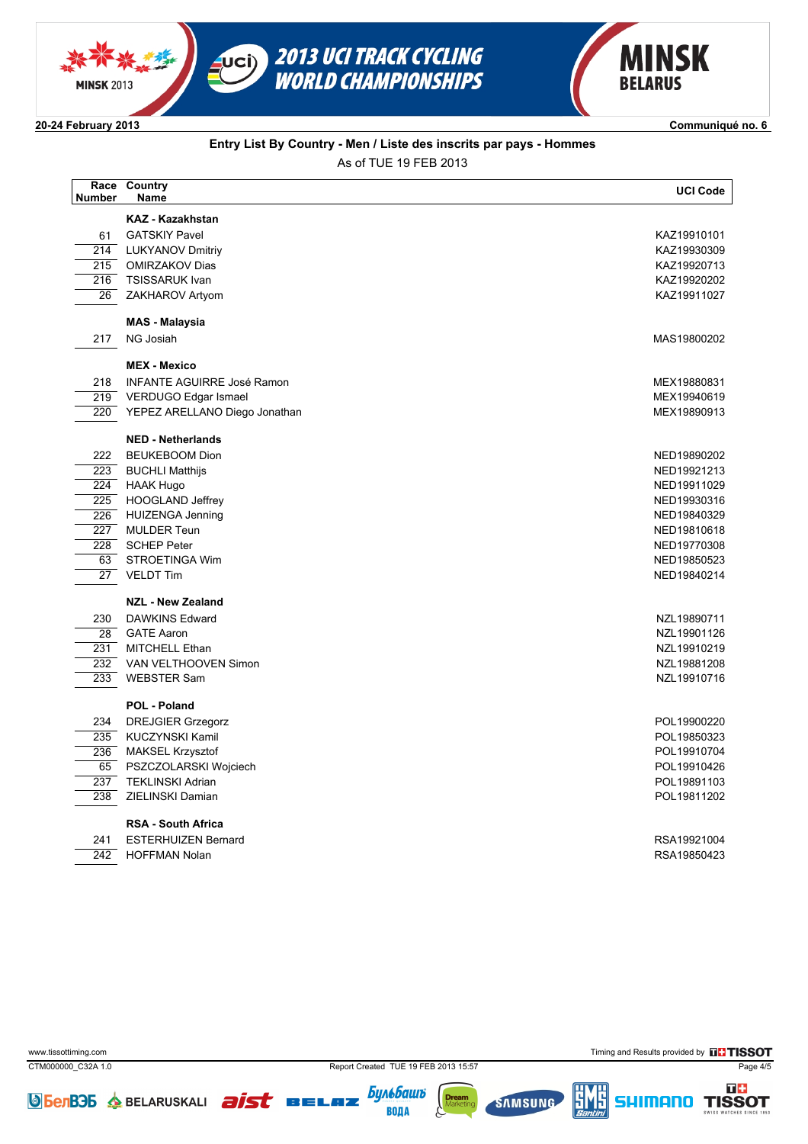





**2024 February 2013 Communiqué no. 6**

### **Entry List By Country - Men / Liste des inscrits par pays - Hommes**

As of TUE 19 FEB 2013 **Name Country UCI Code Race Number KAZ Kazakhstan** 61 GATSKIY Pavel **KAZ19910101** 214 LUKYANOV Dmitriy KAZ19930309 215 OMIRZAKOV Dias KAZ19920713 216 TSISSARUK Ivan KAZ19920202 26 ZAKHAROV Artyom KAZ19911027 **MAS Malaysia** 217 NG Josiah MAS19800202 **MEX - Mexico** 218 INFANTE AGUIRRE José Ramon<br>219 VERDUGO Edgar Ismael<br>219 VERDUGO Edgar Ismael 219 VERDUGO Edgar Ismael MEX19940619 220 YEPEZ ARELLANO Diego Jonathan MEX19890913 **NED - Netherlands** 222 BEUKEBOOM Dion NED19890202  $\frac{223}{224}$  BUCHLI Matthijs New York 1992 1213<br> $\frac{224}{224}$  HAAK Hugo  $\overline{224}$  HAAK Hugo 225 HOOGLAND Jeffrey NED19930316 226 HUIZENGA Jenning NED19840329 er and the set of the set of the set of the set of the set of the set of the set of the set of the set of the set of the set of the set of the set of the set of the set of the set of the set of the set of the set of the se 228 SCHEP Peter NED19770308 63 STROETINGA Wim NED19850523 27 VELDT Tim NED19840214 **NZL - New Zealand** 230 DAWKINS Edward NZL19890711 28 GATE Aaron NZL19901126 231 MITCHELL Ethan 2008 Note than the state of the state of the state of the state of the state of the state of the state of the state of the state of the state of the state of the state of the state of the state of the st 232 VAN VELTHOOVEN Simon NZL19881208 NZL19881208 233 WEBSTER Sam NZL19910716 **POL - Poland** er i March 1990-220 DREJGIER Grzegorz<br>1995 - KUCZYNSKI Kamil March 1990-220<br>1995 - POL19850323 DREJGIER Grzegorz POL19950323  $\overline{235}$  KUCZYNSKI Kamil 236 MAKSEL Krzysztof POL19910704 65 PSZCZOLARSKI Wojciech POL19910426 er and the set of the set of the set of the set of the set of the set of the set of the set of the set of the set of the set of the set of the set of the set of the set of the set of the set of the set of the set of the se 238 ZIELINSKI Damian POL19811202 **RSA - South Africa** er 241 ESTERHUIZEN Bernard (1989)<br>1992 - James Andrea Bernard (1992)<br>2002 - ROFFMAN Nolan (1993)  $\overline{242}$  HOFFMAN Nolan

CTM000000\_C32A 1.0 Report Created TUE 19 FEB 2013 15:57 Page 4/5

**Бульбашъ** 

ВОДА

www.tissottiming.com **Timing and Results provided by THE TISSOT** 

me.

**TISSOT**